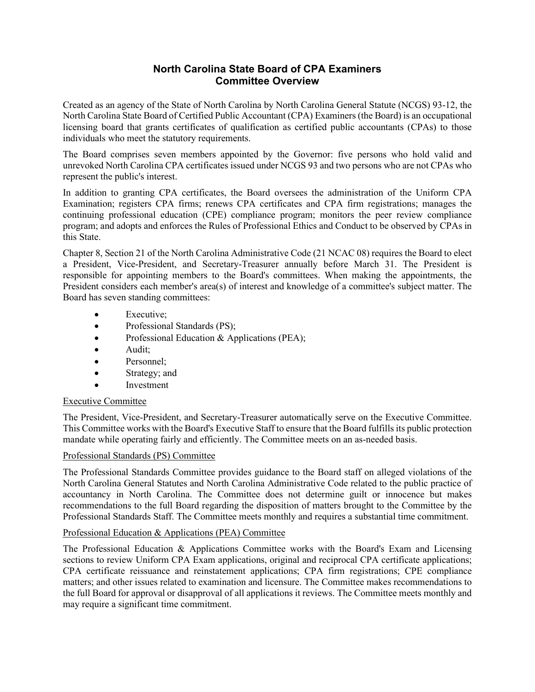# **North Carolina State Board of CPA Examiners Committee Overview**

Created as an agency of the State of North Carolina by North Carolina General Statute (NCGS) 93-12, the North Carolina State Board of Certified Public Accountant (CPA) Examiners (the Board) is an occupational licensing board that grants certificates of qualification as certified public accountants (CPAs) to those individuals who meet the statutory requirements.

The Board comprises seven members appointed by the Governor: five persons who hold valid and unrevoked North Carolina CPA certificates issued under NCGS 93 and two persons who are not CPAs who represent the public's interest.

In addition to granting CPA certificates, the Board oversees the administration of the Uniform CPA Examination; registers CPA firms; renews CPA certificates and CPA firm registrations; manages the continuing professional education (CPE) compliance program; monitors the peer review compliance program; and adopts and enforces the Rules of Professional Ethics and Conduct to be observed by CPAs in this State.

Chapter 8, Section 21 of the North Carolina Administrative Code (21 NCAC 08) requires the Board to elect a President, Vice-President, and Secretary-Treasurer annually before March 31. The President is responsible for appointing members to the Board's committees. When making the appointments, the President considers each member's area(s) of interest and knowledge of a committee's subject matter. The Board has seven standing committees:

- **Executive**;
- Professional Standards (PS);
- Professional Education & Applications (PEA);
- Audit;
- Personnel:
- Strategy; and
- **Investment**

# Executive Committee

The President, Vice-President, and Secretary-Treasurer automatically serve on the Executive Committee. This Committee works with the Board's Executive Staff to ensure that the Board fulfills its public protection mandate while operating fairly and efficiently. The Committee meets on an as-needed basis.

# Professional Standards (PS) Committee

The Professional Standards Committee provides guidance to the Board staff on alleged violations of the North Carolina General Statutes and North Carolina Administrative Code related to the public practice of accountancy in North Carolina. The Committee does not determine guilt or innocence but makes recommendations to the full Board regarding the disposition of matters brought to the Committee by the Professional Standards Staff. The Committee meets monthly and requires a substantial time commitment.

#### Professional Education & Applications (PEA) Committee

The Professional Education & Applications Committee works with the Board's Exam and Licensing sections to review Uniform CPA Exam applications, original and reciprocal CPA certificate applications; CPA certificate reissuance and reinstatement applications; CPA firm registrations; CPE compliance matters; and other issues related to examination and licensure. The Committee makes recommendations to the full Board for approval or disapproval of all applications it reviews. The Committee meets monthly and may require a significant time commitment.